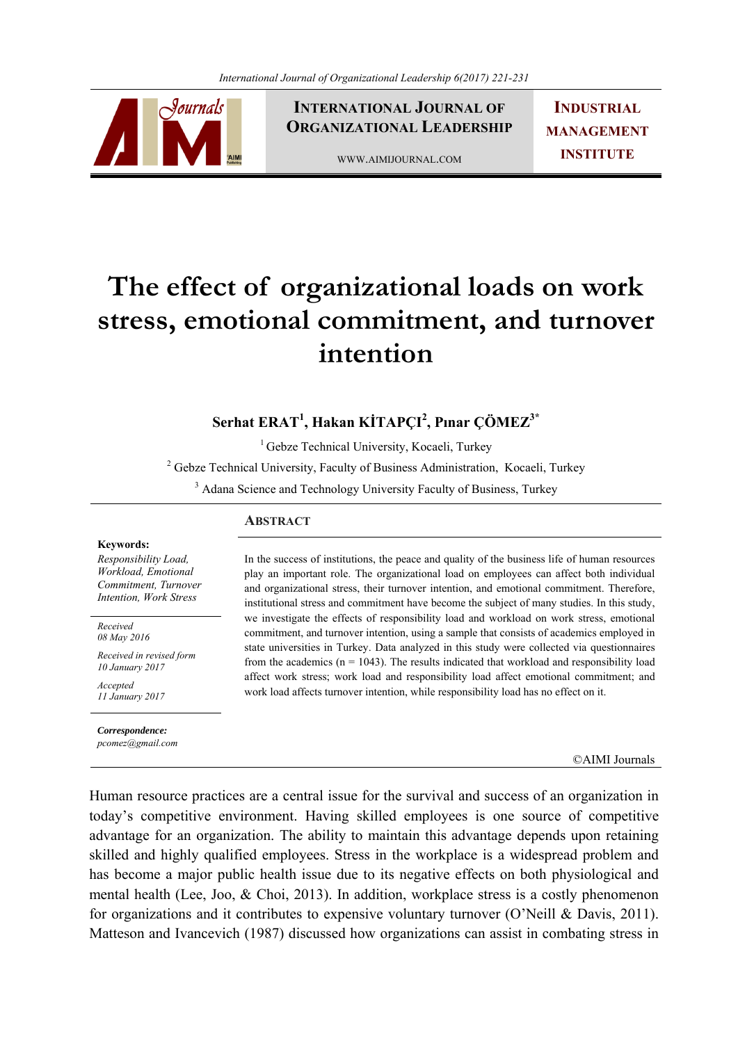

**INTERNATIONAL JOURNAL OF ORGANIZATIONAL LEADERSHIP**

WWW.AIMIJOURNAL.COM

**INDUSTRIAL MANAGEMENT INSTITUTE**

# **The effect of organizational loads on work stress, emotional commitment, and turnover intention**

# **Serhat ERAT1 , Hakan KİTAPÇI<sup>2</sup> , Pınar ÇÖMEZ3\***

<sup>1</sup> Gebze Technical University, Kocaeli, Turkey

<sup>2</sup> Gebze Technical University, Faculty of Business Administration, Kocaeli, Turkey

<sup>3</sup> Adana Science and Technology University Faculty of Business, Turkey

#### **Keywords:**

*Responsibility Load, Workload, Emotional Commitment, Turnover Intention, Work Stress*

*Received 08 May 2016* 

*Received in revised form 10 January 2017* 

*Accepted 11 January 2017*

#### *Correspondence:*

*pcomez@gmail.com*

## **ABSTRACT**

In the success of institutions, the peace and quality of the business life of human resources play an important role. The organizational load on employees can affect both individual and organizational stress, their turnover intention, and emotional commitment. Therefore, institutional stress and commitment have become the subject of many studies. In this study, we investigate the effects of responsibility load and workload on work stress, emotional commitment, and turnover intention, using a sample that consists of academics employed in state universities in Turkey. Data analyzed in this study were collected via questionnaires from the academics  $(n = 1043)$ . The results indicated that workload and responsibility load affect work stress; work load and responsibility load affect emotional commitment; and work load affects turnover intention, while responsibility load has no effect on it.

©AIMI Journals

Human resource practices are a central issue for the survival and success of an organization in today's competitive environment. Having skilled employees is one source of competitive advantage for an organization. The ability to maintain this advantage depends upon retaining skilled and highly qualified employees. Stress in the workplace is a widespread problem and has become a major public health issue due to its negative effects on both physiological and mental health (Lee, Joo, & Choi, 2013). In addition, workplace stress is a costly phenomenon for organizations and it contributes to expensive voluntary turnover (O'Neill & Davis, 2011). Matteson and Ivancevich (1987) discussed how organizations can assist in combating stress in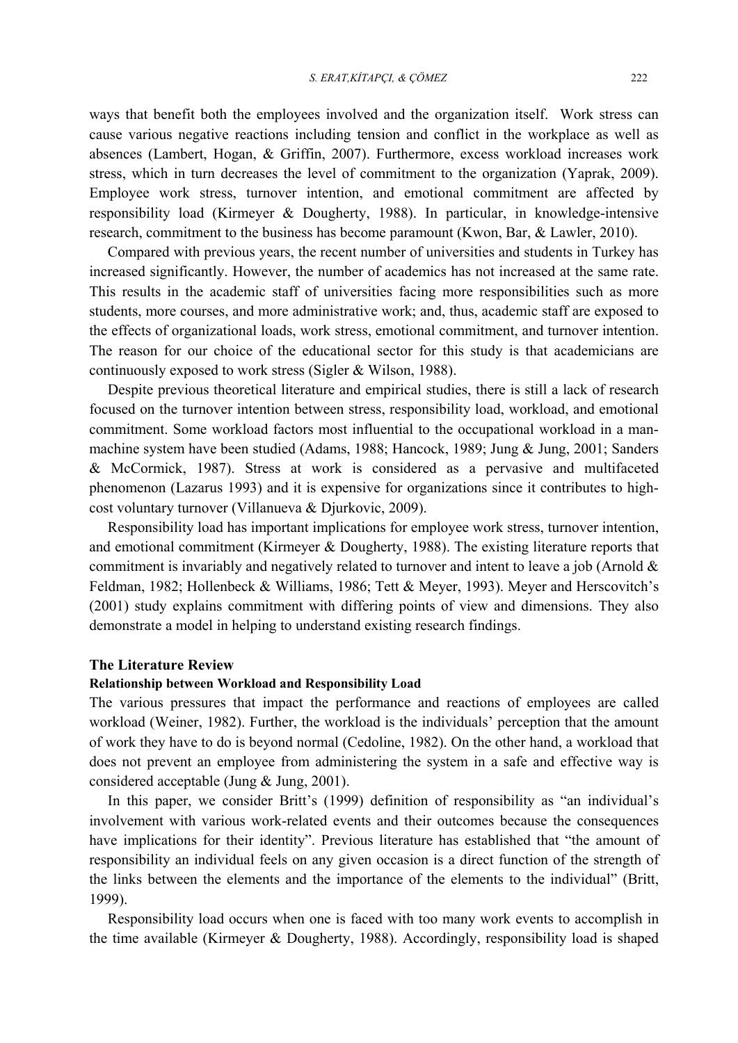ways that benefit both the employees involved and the organization itself. Work stress can cause various negative reactions including tension and conflict in the workplace as well as absences (Lambert, Hogan, & Griffin, 2007). Furthermore, excess workload increases work stress, which in turn decreases the level of commitment to the organization (Yaprak, 2009). Employee work stress, turnover intention, and emotional commitment are affected by responsibility load (Kirmeyer & Dougherty, 1988). In particular, in knowledge-intensive research, commitment to the business has become paramount (Kwon, Bar, & Lawler, 2010).

 Compared with previous years, the recent number of universities and students in Turkey has increased significantly. However, the number of academics has not increased at the same rate. This results in the academic staff of universities facing more responsibilities such as more students, more courses, and more administrative work; and, thus, academic staff are exposed to the effects of organizational loads, work stress, emotional commitment, and turnover intention. The reason for our choice of the educational sector for this study is that academicians are continuously exposed to work stress (Sigler & Wilson, 1988).

 Despite previous theoretical literature and empirical studies, there is still a lack of research focused on the turnover intention between stress, responsibility load, workload, and emotional commitment. Some workload factors most influential to the occupational workload in a manmachine system have been studied (Adams, 1988; Hancock, 1989; Jung & Jung, 2001; Sanders & McCormick, 1987). Stress at work is considered as a pervasive and multifaceted phenomenon (Lazarus 1993) and it is expensive for organizations since it contributes to highcost voluntary turnover (Villanueva & Djurkovic, 2009).

 Responsibility load has important implications for employee work stress, turnover intention, and emotional commitment (Kirmeyer & Dougherty, 1988). The existing literature reports that commitment is invariably and negatively related to turnover and intent to leave a job (Arnold & Feldman, 1982; Hollenbeck & Williams, 1986; Tett & Meyer, 1993). Meyer and Herscovitch's (2001) study explains commitment with differing points of view and dimensions. They also demonstrate a model in helping to understand existing research findings.

#### **The Literature Review**

## **Relationship between Workload and Responsibility Load**

The various pressures that impact the performance and reactions of employees are called workload (Weiner, 1982). Further, the workload is the individuals' perception that the amount of work they have to do is beyond normal (Cedoline, 1982). On the other hand, a workload that does not prevent an employee from administering the system in a safe and effective way is considered acceptable (Jung & Jung, 2001).

 In this paper, we consider Britt's (1999) definition of responsibility as "an individual's involvement with various work-related events and their outcomes because the consequences have implications for their identity". Previous literature has established that "the amount of responsibility an individual feels on any given occasion is a direct function of the strength of the links between the elements and the importance of the elements to the individual" (Britt, 1999).

 Responsibility load occurs when one is faced with too many work events to accomplish in the time available (Kirmeyer & Dougherty, 1988). Accordingly, responsibility load is shaped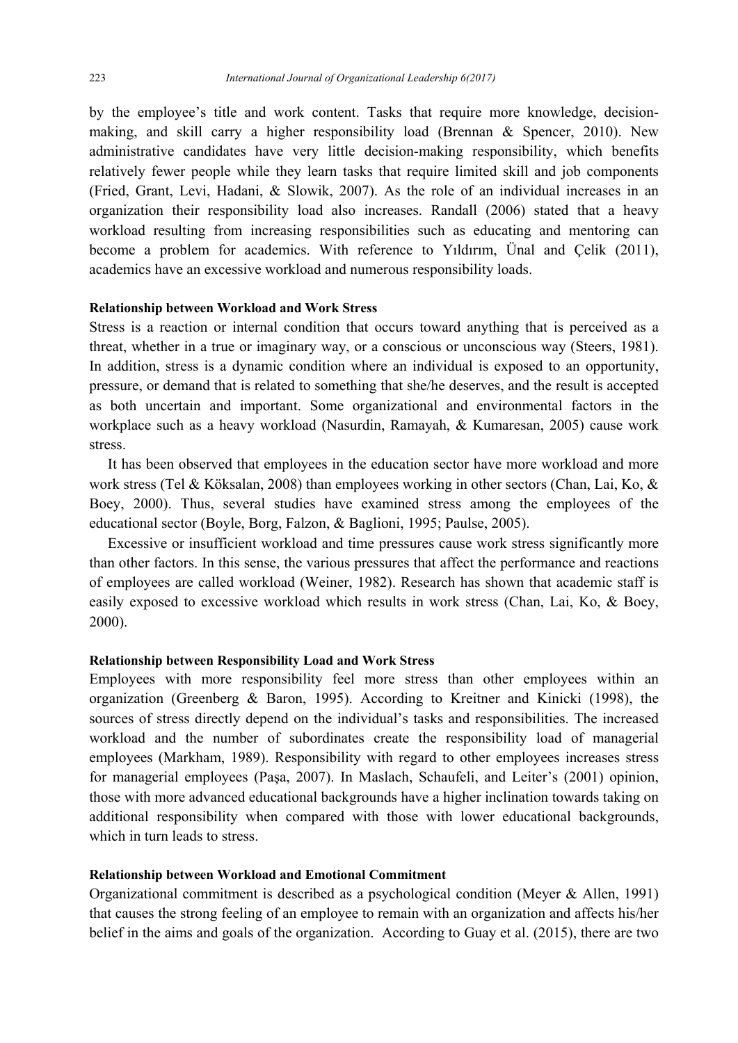by the employee's title and work content. Tasks that require more knowledge, decisionmaking, and skill carry a higher responsibility load (Brennan & Spencer, 2010). New administrative candidates have very little decision-making responsibility, which benefits relatively fewer people while they learn tasks that require limited skill and job components (Fried, Grant, Levi, Hadani, & Slowik, 2007). As the role of an individual increases in an organization their responsibility load also increases. Randall (2006) stated that a heavy workload resulting from increasing responsibilities such as educating and mentoring can become a problem for academics. With reference to Yıldırım, Ünal and Çelik (2011), academics have an excessive workload and numerous responsibility loads.

## **Relationship between Workload and Work Stress**

Stress is a reaction or internal condition that occurs toward anything that is perceived as a threat, whether in a true or imaginary way, or a conscious or unconscious way (Steers, 1981). In addition, stress is a dynamic condition where an individual is exposed to an opportunity, pressure, or demand that is related to something that she/he deserves, and the result is accepted as both uncertain and important. Some organizational and environmental factors in the workplace such as a heavy workload (Nasurdin, Ramayah, & Kumaresan, 2005) cause work stress.

 It has been observed that employees in the education sector have more workload and more work stress (Tel & Köksalan, 2008) than employees working in other sectors (Chan, Lai, Ko, & Boey, 2000). Thus, several studies have examined stress among the employees of the educational sector (Boyle, Borg, Falzon, & Baglioni, 1995; Paulse, 2005).

 Excessive or insufficient workload and time pressures cause work stress significantly more than other factors. In this sense, the various pressures that affect the performance and reactions of employees are called workload (Weiner, 1982). Research has shown that academic staff is easily exposed to excessive workload which results in work stress (Chan, Lai, Ko, & Boey, 2000).

## **Relationship between Responsibility Load and Work Stress**

Employees with more responsibility feel more stress than other employees within an organization (Greenberg & Baron, 1995). According to Kreitner and Kinicki (1998), the sources of stress directly depend on the individual's tasks and responsibilities. The increased workload and the number of subordinates create the responsibility load of managerial employees (Markham, 1989). Responsibility with regard to other employees increases stress for managerial employees (Paşa, 2007). In Maslach, Schaufeli, and Leiter's (2001) opinion, those with more advanced educational backgrounds have a higher inclination towards taking on additional responsibility when compared with those with lower educational backgrounds, which in turn leads to stress.

# **Relationship between Workload and Emotional Commitment**

Organizational commitment is described as a psychological condition (Meyer & Allen, 1991) that causes the strong feeling of an employee to remain with an organization and affects his/her belief in the aims and goals of the organization. According to Guay et al. (2015), there are two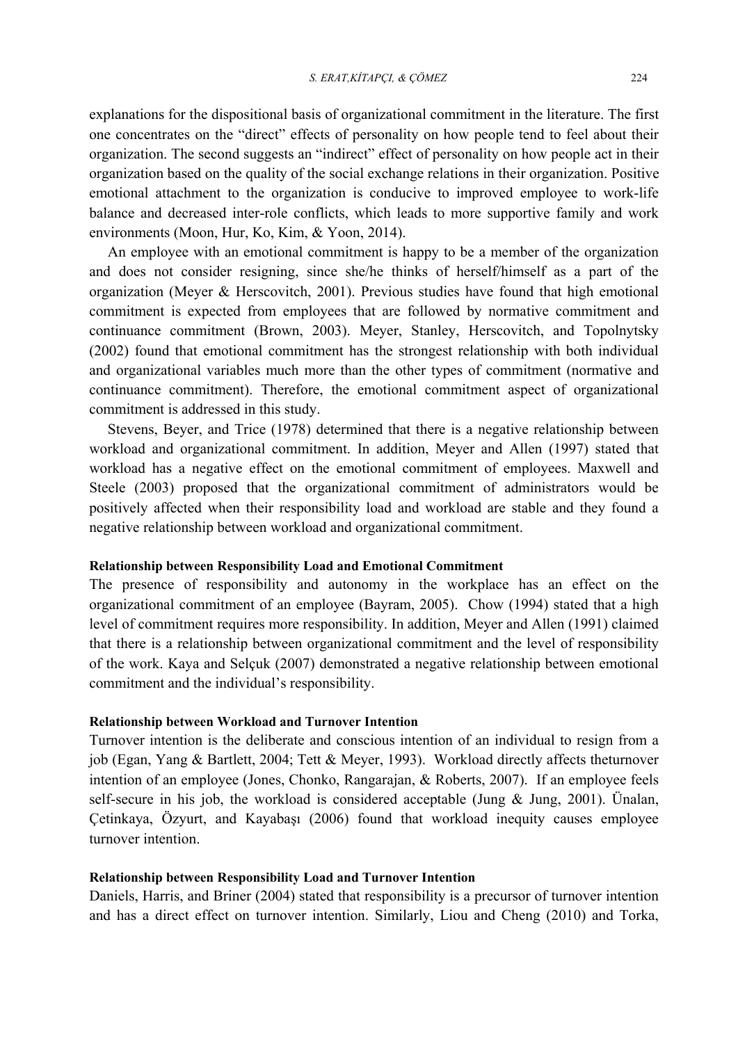explanations for the dispositional basis of organizational commitment in the literature. The first one concentrates on the "direct" effects of personality on how people tend to feel about their organization. The second suggests an "indirect" effect of personality on how people act in their organization based on the quality of the social exchange relations in their organization. Positive emotional attachment to the organization is conducive to improved employee to work-life balance and decreased inter-role conflicts, which leads to more supportive family and work environments (Moon, Hur, Ko, Kim, & Yoon, 2014).

 An employee with an emotional commitment is happy to be a member of the organization and does not consider resigning, since she/he thinks of herself/himself as a part of the organization (Meyer & Herscovitch, 2001). Previous studies have found that high emotional commitment is expected from employees that are followed by normative commitment and continuance commitment (Brown, 2003). Meyer, Stanley, Herscovitch, and Topolnytsky (2002) found that emotional commitment has the strongest relationship with both individual and organizational variables much more than the other types of commitment (normative and continuance commitment). Therefore, the emotional commitment aspect of organizational commitment is addressed in this study.

 Stevens, Beyer, and Trice (1978) determined that there is a negative relationship between workload and organizational commitment. In addition, Meyer and Allen (1997) stated that workload has a negative effect on the emotional commitment of employees. Maxwell and Steele (2003) proposed that the organizational commitment of administrators would be positively affected when their responsibility load and workload are stable and they found a negative relationship between workload and organizational commitment.

#### **Relationship between Responsibility Load and Emotional Commitment**

The presence of responsibility and autonomy in the workplace has an effect on the organizational commitment of an employee (Bayram, 2005). Chow (1994) stated that a high level of commitment requires more responsibility. In addition, Meyer and Allen (1991) claimed that there is a relationship between organizational commitment and the level of responsibility of the work. Kaya and Selçuk (2007) demonstrated a negative relationship between emotional commitment and the individual's responsibility.

## **Relationship between Workload and Turnover Intention**

Turnover intention is the deliberate and conscious intention of an individual to resign from a job (Egan, Yang & Bartlett, 2004; Tett & Meyer, 1993). Workload directly affects theturnover intention of an employee (Jones, Chonko, Rangarajan, & Roberts, 2007). If an employee feels self-secure in his job, the workload is considered acceptable (Jung  $\&$  Jung, 2001). Ünalan, Çetinkaya, Özyurt, and Kayabaşı (2006) found that workload inequity causes employee turnover intention.

## **Relationship between Responsibility Load and Turnover Intention**

Daniels, Harris, and Briner (2004) stated that responsibility is a precursor of turnover intention and has a direct effect on turnover intention. Similarly, Liou and Cheng (2010) and Torka,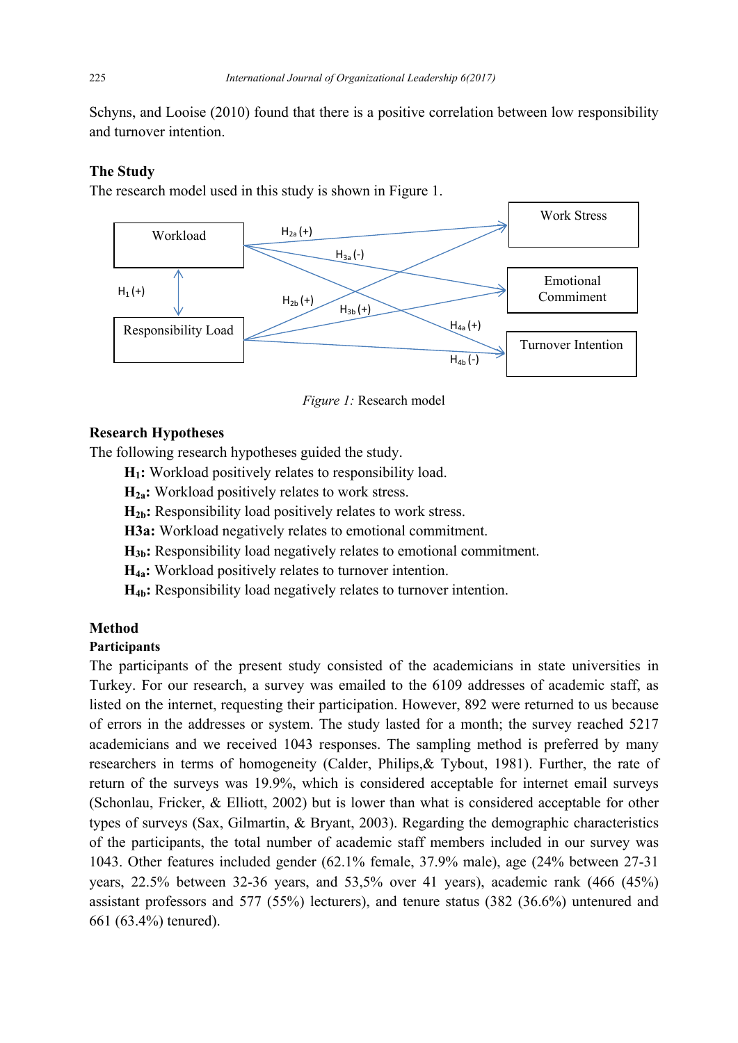Schyns, and Looise (2010) found that there is a positive correlation between low responsibility and turnover intention.

# **The Study**

The research model used in this study is shown in Figure 1.



*Figure 1:* Research model

# **Research Hypotheses**

The following research hypotheses guided the study.

- **H1:** Workload positively relates to responsibility load.
- **H2a:** Workload positively relates to work stress.
- **H2b:** Responsibility load positively relates to work stress.
- **H3a:** Workload negatively relates to emotional commitment.
- **H3b:** Responsibility load negatively relates to emotional commitment.
- **H4a:** Workload positively relates to turnover intention.
- **H4b:** Responsibility load negatively relates to turnover intention.

# **Method**

# **Participants**

The participants of the present study consisted of the academicians in state universities in Turkey. For our research, a survey was emailed to the 6109 addresses of academic staff, as listed on the internet, requesting their participation. However, 892 were returned to us because of errors in the addresses or system. The study lasted for a month; the survey reached 5217 academicians and we received 1043 responses. The sampling method is preferred by many researchers in terms of homogeneity (Calder, Philips,& Tybout, 1981). Further, the rate of return of the surveys was 19.9%, which is considered acceptable for internet email surveys (Schonlau, Fricker, & Elliott, 2002) but is lower than what is considered acceptable for other types of surveys (Sax, Gilmartin, & Bryant, 2003). Regarding the demographic characteristics of the participants, the total number of academic staff members included in our survey was 1043. Other features included gender (62.1% female, 37.9% male), age (24% between 27-31 years, 22.5% between 32-36 years, and 53,5% over 41 years), academic rank (466 (45%) assistant professors and 577 (55%) lecturers), and tenure status (382 (36.6%) untenured and 661 (63.4%) tenured).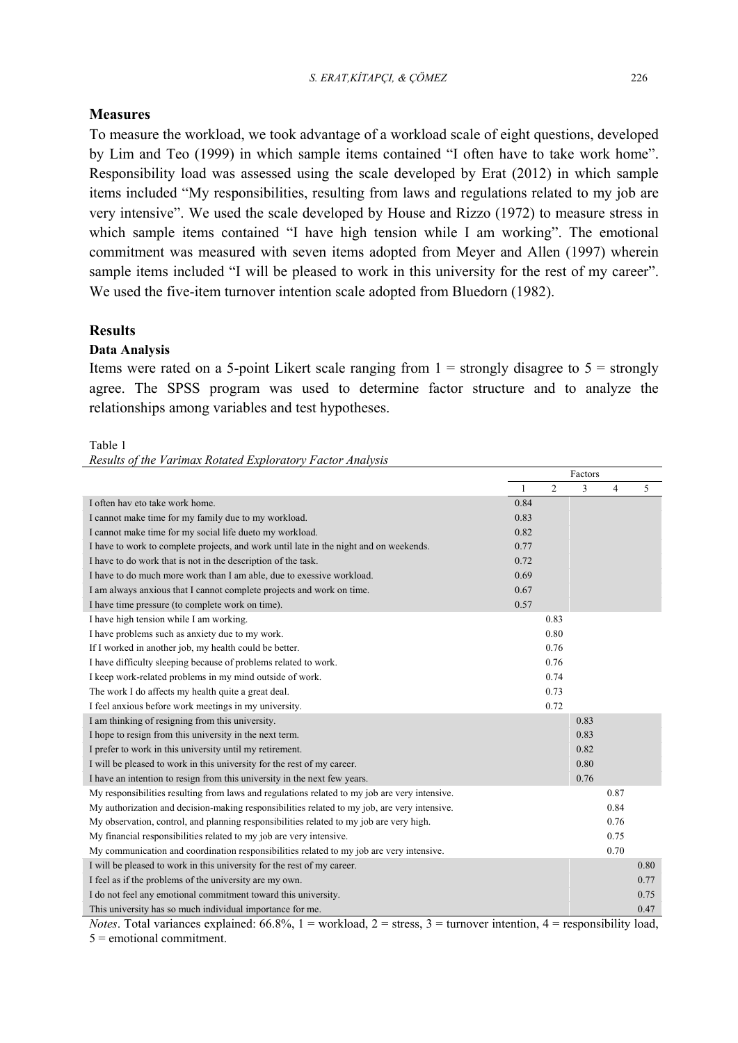#### *S. ERAT,KİTAPÇI, & ÇÖMEZ* 226

## **Measures**

To measure the workload, we took advantage of a workload scale of eight questions, developed by Lim and Teo (1999) in which sample items contained "I often have to take work home". Responsibility load was assessed using the scale developed by Erat (2012) in which sample items included "My responsibilities, resulting from laws and regulations related to my job are very intensive". We used the scale developed by House and Rizzo (1972) to measure stress in which sample items contained "I have high tension while I am working". The emotional commitment was measured with seven items adopted from Meyer and Allen (1997) wherein sample items included "I will be pleased to work in this university for the rest of my career". We used the five-item turnover intention scale adopted from Bluedorn (1982).

## **Results**

## **Data Analysis**

Items were rated on a 5-point Likert scale ranging from  $1 =$  strongly disagree to  $5 =$  strongly agree. The SPSS program was used to determine factor structure and to analyze the relationships among variables and test hypotheses.

#### Table 1

*Results of the Varimax Rotated Exploratory Factor Analysis* 

|                                                                                               | Factors |                |      |                |      |
|-----------------------------------------------------------------------------------------------|---------|----------------|------|----------------|------|
|                                                                                               | 1       | $\overline{c}$ | 3    | $\overline{4}$ | 5    |
| I often hav eto take work home.                                                               | 0.84    |                |      |                |      |
| I cannot make time for my family due to my workload.                                          | 0.83    |                |      |                |      |
| I cannot make time for my social life dueto my workload.                                      | 0.82    |                |      |                |      |
| I have to work to complete projects, and work until late in the night and on weekends.        | 0.77    |                |      |                |      |
| I have to do work that is not in the description of the task.                                 | 0.72    |                |      |                |      |
| I have to do much more work than I am able, due to exessive workload.                         | 0.69    |                |      |                |      |
| I am always anxious that I cannot complete projects and work on time.                         | 0.67    |                |      |                |      |
| I have time pressure (to complete work on time).                                              | 0.57    |                |      |                |      |
| I have high tension while I am working.                                                       |         | 0.83           |      |                |      |
| I have problems such as anxiety due to my work.                                               |         | 0.80           |      |                |      |
| If I worked in another job, my health could be better.                                        |         | 0.76           |      |                |      |
| I have difficulty sleeping because of problems related to work.                               |         | 0.76           |      |                |      |
| I keep work-related problems in my mind outside of work.                                      |         | 0.74           |      |                |      |
| The work I do affects my health quite a great deal.                                           |         | 0.73           |      |                |      |
| I feel anxious before work meetings in my university.                                         |         | 0.72           |      |                |      |
| I am thinking of resigning from this university.                                              |         |                | 0.83 |                |      |
| I hope to resign from this university in the next term.                                       |         |                | 0.83 |                |      |
| I prefer to work in this university until my retirement.                                      |         |                | 0.82 |                |      |
| I will be pleased to work in this university for the rest of my career.                       |         |                | 0.80 |                |      |
| I have an intention to resign from this university in the next few years.                     |         |                | 0.76 |                |      |
| My responsibilities resulting from laws and regulations related to my job are very intensive. |         |                |      | 0.87           |      |
| My authorization and decision-making responsibilities related to my job, are very intensive.  |         |                |      | 0.84           |      |
| My observation, control, and planning responsibilities related to my job are very high.       |         |                |      | 0.76           |      |
| My financial responsibilities related to my job are very intensive.                           |         |                |      | 0.75           |      |
| My communication and coordination responsibilities related to my job are very intensive.      |         |                |      | 0.70           |      |
| I will be pleased to work in this university for the rest of my career.                       |         |                |      |                | 0.80 |
| I feel as if the problems of the university are my own.                                       |         |                |      |                | 0.77 |
| I do not feel any emotional commitment toward this university.                                |         |                |      |                | 0.75 |
| This university has so much individual importance for me.                                     |         |                |      |                | 0.47 |

*Notes*. Total variances explained:  $66.8\%$ ,  $1 =$  workload,  $2 =$  stress,  $3 =$  turnover intention,  $4 =$  responsibility load, 5 = emotional commitment.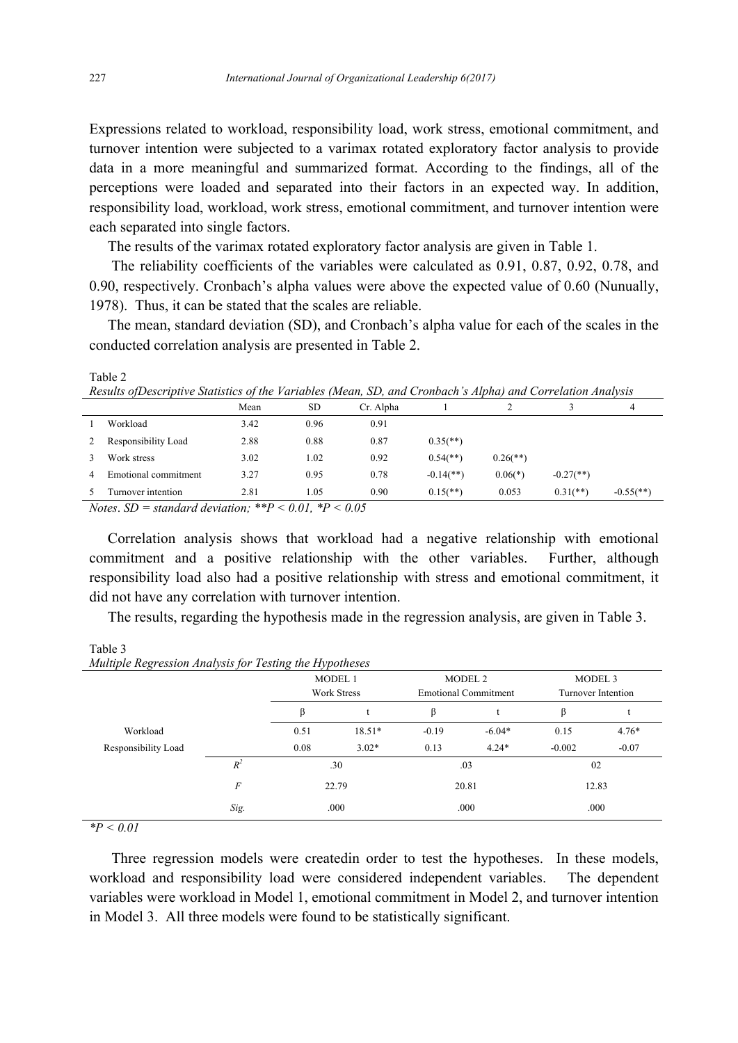Expressions related to workload, responsibility load, work stress, emotional commitment, and turnover intention were subjected to a varimax rotated exploratory factor analysis to provide data in a more meaningful and summarized format. According to the findings, all of the perceptions were loaded and separated into their factors in an expected way. In addition, responsibility load, workload, work stress, emotional commitment, and turnover intention were each separated into single factors.

The results of the varimax rotated exploratory factor analysis are given in Table 1.

The reliability coefficients of the variables were calculated as 0.91, 0.87, 0.92, 0.78, and 0.90, respectively. Cronbach's alpha values were above the expected value of 0.60 (Nunually, 1978). Thus, it can be stated that the scales are reliable.

 The mean, standard deviation (SD), and Cronbach's alpha value for each of the scales in the conducted correlation analysis are presented in Table 2.

| Results of Descriptive Statistics of the Variables (Mean, SD, and Cronbach s Alpha) and Correlation Analysis |                      |          |           |           |                          |                        |                         |                         |
|--------------------------------------------------------------------------------------------------------------|----------------------|----------|-----------|-----------|--------------------------|------------------------|-------------------------|-------------------------|
|                                                                                                              |                      | Mean     | <b>SD</b> | Cr. Alpha |                          |                        |                         | 4                       |
|                                                                                                              | Workload             | 3.42     | 0.96      | 0.91      |                          |                        |                         |                         |
|                                                                                                              | Responsibility Load  | 2.88     | 0.88      | 0.87      | $0.35$ <sup>(**)</sup> ) |                        |                         |                         |
|                                                                                                              | Work stress          | 3.02     | 1.02      | 0.92      | $0.54$ <sup>(**)</sup> ) | $0.26$ <sup>**</sup> ) |                         |                         |
|                                                                                                              | Emotional commitment | 3.27     | 0.95      | 0.78      | $-0.14$ <sup>**</sup> )  | $0.06(*)$              | $-0.27$ <sup>**</sup> ) |                         |
|                                                                                                              | Turnover intention   | 2.81     | 1.05      | 0.90      | $0.15$ <sup>**</sup> )   | 0.053                  | $0.31$ (**)             | $-0.55$ <sup>(**)</sup> |
|                                                                                                              |                      | $\cdots$ | .         |           |                          |                        |                         |                         |

*Results ofDescriptive Statistics of the Variables (Mean, SD, and Cronbach's Alpha) and Correlation Analysis* 

*Notes*. *SD = standard deviation; \*\*P < 0.01, \*P < 0.05* 

 Correlation analysis shows that workload had a negative relationship with emotional commitment and a positive relationship with the other variables. Further, although responsibility load also had a positive relationship with stress and emotional commitment, it did not have any correlation with turnover intention.

The results, regarding the hypothesis made in the regression analysis, are given in Table 3.

| Multiple Regression Analysis for Testing the Hypotheses |              |                               |          |                                                   |          |                               |         |
|---------------------------------------------------------|--------------|-------------------------------|----------|---------------------------------------------------|----------|-------------------------------|---------|
|                                                         |              | MODEL 1<br><b>Work Stress</b> |          | MODEL <sub>2</sub><br><b>Emotional Commitment</b> |          | MODEL 3<br>Turnover Intention |         |
|                                                         |              | ß                             |          | ß                                                 |          | ß                             |         |
| Workload                                                |              | 0.51                          | $18.51*$ | $-0.19$                                           | $-6.04*$ | 0.15                          | $4.76*$ |
| Responsibility Load                                     |              | 0.08                          | $3.02*$  | 0.13                                              | $4.24*$  | $-0.002$                      | $-0.07$ |
|                                                         | $R^2$        | .30<br>22.79                  |          | .03                                               |          | 02                            |         |
|                                                         | F            |                               |          | 20.81                                             |          | 12.83                         |         |
|                                                         | Sig.<br>.000 |                               |          | .000                                              |          | .000                          |         |

Table 3 *Multiple Regression Analysis for Testing the Hypotheses* 

*\*P < 0.01* 

Three regression models were createdin order to test the hypotheses. In these models, workload and responsibility load were considered independent variables. The dependent variables were workload in Model 1, emotional commitment in Model 2, and turnover intention in Model 3. All three models were found to be statistically significant.

Table 2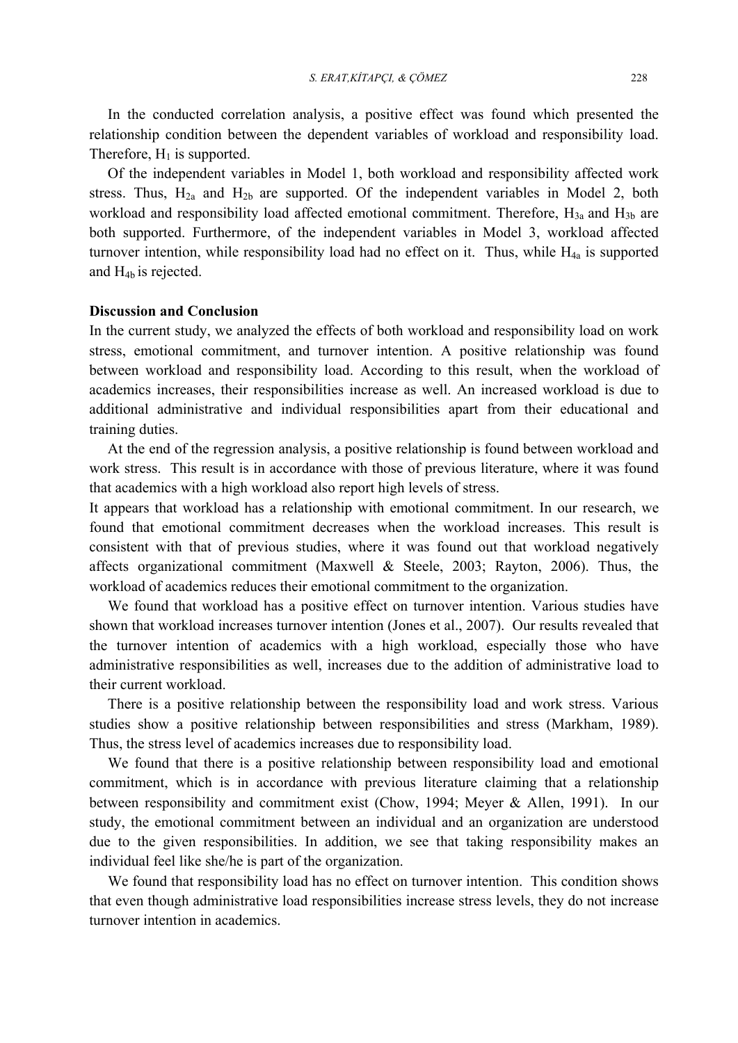In the conducted correlation analysis, a positive effect was found which presented the relationship condition between the dependent variables of workload and responsibility load. Therefore,  $H_1$  is supported.

 Of the independent variables in Model 1, both workload and responsibility affected work stress. Thus,  $H_{2a}$  and  $H_{2b}$  are supported. Of the independent variables in Model 2, both workload and responsibility load affected emotional commitment. Therefore,  $H_{3a}$  and  $H_{3b}$  are both supported. Furthermore, of the independent variables in Model 3, workload affected turnover intention, while responsibility load had no effect on it. Thus, while  $H_{4a}$  is supported and H4b is rejected.

## **Discussion and Conclusion**

In the current study, we analyzed the effects of both workload and responsibility load on work stress, emotional commitment, and turnover intention. A positive relationship was found between workload and responsibility load. According to this result, when the workload of academics increases, their responsibilities increase as well. An increased workload is due to additional administrative and individual responsibilities apart from their educational and training duties.

 At the end of the regression analysis, a positive relationship is found between workload and work stress. This result is in accordance with those of previous literature, where it was found that academics with a high workload also report high levels of stress.

It appears that workload has a relationship with emotional commitment. In our research, we found that emotional commitment decreases when the workload increases. This result is consistent with that of previous studies, where it was found out that workload negatively affects organizational commitment (Maxwell & Steele, 2003; Rayton, 2006). Thus, the workload of academics reduces their emotional commitment to the organization.

 We found that workload has a positive effect on turnover intention. Various studies have shown that workload increases turnover intention (Jones et al., 2007). Our results revealed that the turnover intention of academics with a high workload, especially those who have administrative responsibilities as well, increases due to the addition of administrative load to their current workload.

 There is a positive relationship between the responsibility load and work stress. Various studies show a positive relationship between responsibilities and stress (Markham, 1989). Thus, the stress level of academics increases due to responsibility load.

 We found that there is a positive relationship between responsibility load and emotional commitment, which is in accordance with previous literature claiming that a relationship between responsibility and commitment exist (Chow, 1994; Meyer & Allen, 1991). In our study, the emotional commitment between an individual and an organization are understood due to the given responsibilities. In addition, we see that taking responsibility makes an individual feel like she/he is part of the organization.

 We found that responsibility load has no effect on turnover intention. This condition shows that even though administrative load responsibilities increase stress levels, they do not increase turnover intention in academics.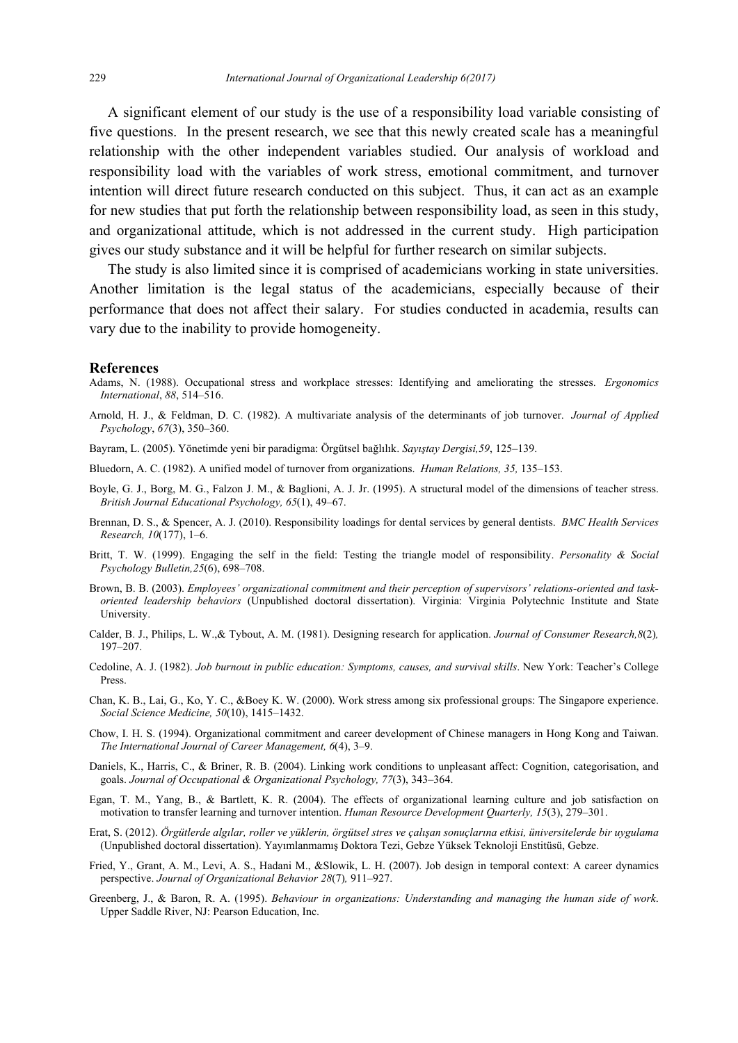A significant element of our study is the use of a responsibility load variable consisting of five questions. In the present research, we see that this newly created scale has a meaningful relationship with the other independent variables studied. Our analysis of workload and responsibility load with the variables of work stress, emotional commitment, and turnover intention will direct future research conducted on this subject. Thus, it can act as an example for new studies that put forth the relationship between responsibility load, as seen in this study, and organizational attitude, which is not addressed in the current study. High participation gives our study substance and it will be helpful for further research on similar subjects.

 The study is also limited since it is comprised of academicians working in state universities. Another limitation is the legal status of the academicians, especially because of their performance that does not affect their salary. For studies conducted in academia, results can vary due to the inability to provide homogeneity.

#### **References**

- Adams, N. (1988). Occupational stress and workplace stresses: Identifying and ameliorating the stresses. *Ergonomics International*, *88*, 514–516.
- Arnold, H. J., & Feldman, D. C. (1982). A multivariate analysis of the determinants of job turnover. *Journal of Applied Psychology*, *67*(3), 350–360.
- Bayram, L. (2005). Yönetimde yeni bir paradigma: Örgütsel bağlılık. *Sayıştay Dergisi,59*, 125–139.
- Bluedorn, A. C. (1982). A unified model of turnover from organizations. *Human Relations, 35,* 135–153.
- Boyle, G. J., Borg, M. G., Falzon J. M., & Baglioni, A. J. Jr. (1995). A structural model of the dimensions of teacher stress. *British Journal Educational Psychology, 65*(1), 49–67.
- Brennan, D. S., & Spencer, A. J. (2010). Responsibility loadings for dental services by general dentists. *BMC Health Services Research, 10*(177), 1–6.
- Britt, T. W. (1999). Engaging the self in the field: Testing the triangle model of responsibility. *Personality & Social Psychology Bulletin,25*(6), 698–708.
- Brown, B. B. (2003). *Employees' organizational commitment and their perception of supervisors' relations-oriented and taskoriented leadership behaviors* (Unpublished doctoral dissertation). Virginia: Virginia Polytechnic Institute and State University.
- Calder, B. J., Philips, L. W.,& Tybout, A. M. (1981). Designing research for application. *Journal of Consumer Research,8*(2)*,* 197–207.
- Cedoline, A. J. (1982). *Job burnout in public education: Symptoms, causes, and survival skills*. New York: Teacher's College Press.
- Chan, K. B., Lai, G., Ko, Y. C., &Boey K. W. (2000). Work stress among six professional groups: The Singapore experience. *Social Science Medicine, 50*(10), 1415–1432.
- Chow, I. H. S. (1994). Organizational commitment and career development of Chinese managers in Hong Kong and Taiwan. *The International Journal of Career Management, 6*(4), 3–9.
- Daniels, K., Harris, C., & Briner, R. B. (2004). Linking work conditions to unpleasant affect: Cognition, categorisation, and goals. *Journal of Occupational & Organizational Psychology, 77*(3), 343–364.
- Egan, T. M., Yang, B., & Bartlett, K. R. (2004). The effects of organizational learning culture and job satisfaction on motivation to transfer learning and turnover intention. *Human Resource Development Quarterly, 15*(3), 279–301.
- Erat, S. (2012). *Örgütlerde algılar, roller ve yüklerin, örgütsel stres ve çalışan sonuçlarına etkisi, üniversitelerde bir uygulama*  (Unpublished doctoral dissertation). Yayımlanmamış Doktora Tezi, Gebze Yüksek Teknoloji Enstitüsü, Gebze.
- Fried, Y., Grant, A. M., Levi, A. S., Hadani M., &Slowik, L. H. (2007). Job design in temporal context: A career dynamics perspective. *Journal of Organizational Behavior 28*(7)*,* 911–927.
- Greenberg, J., & Baron, R. A. (1995). *Behaviour in organizations: Understanding and managing the human side of work*. Upper Saddle River, NJ: Pearson Education, Inc.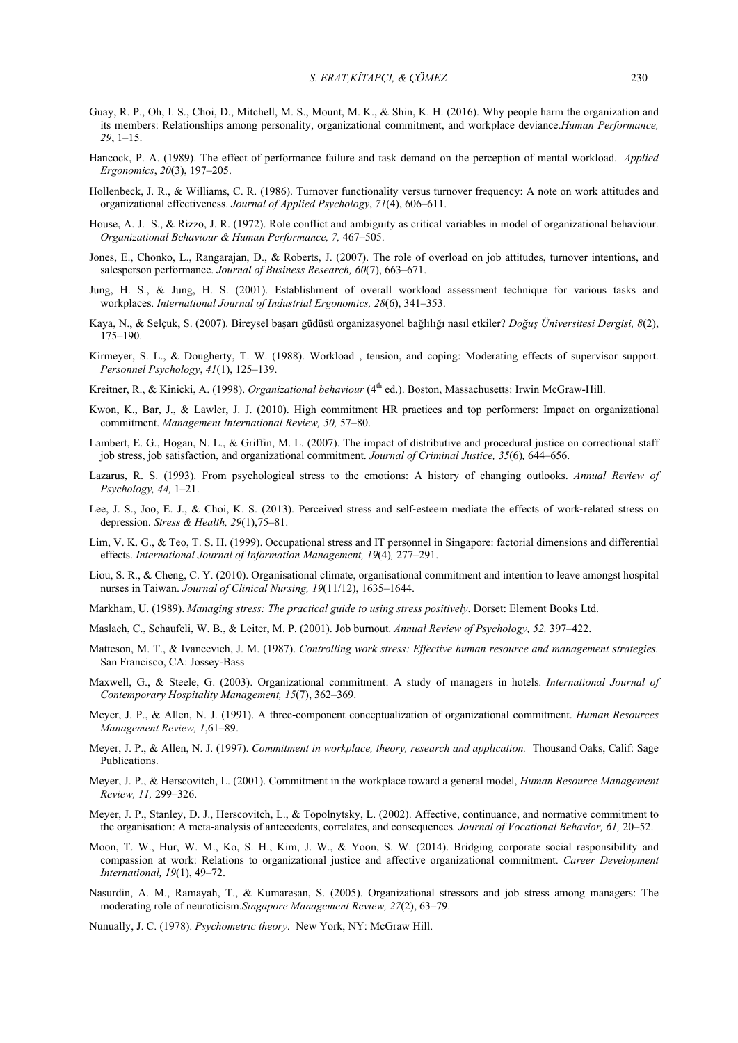- Guay, R. P., Oh, I. S., Choi, D., Mitchell, M. S., Mount, M. K., & Shin, K. H. (2016). Why people harm the organization and its members: Relationships among personality, organizational commitment, and workplace deviance.*Human Performance, 29*, 1–15.
- Hancock, P. A. (1989). The effect of performance failure and task demand on the perception of mental workload. *Applied Ergonomics*, *20*(3), 197–205.
- Hollenbeck, J. R., & Williams, C. R. (1986). Turnover functionality versus turnover frequency: A note on work attitudes and organizational effectiveness. *Journal of Applied Psychology*, *71*(4), 606–611.
- House, A. J. S., & Rizzo, J. R. (1972). Role conflict and ambiguity as critical variables in model of organizational behaviour. *Organizational Behaviour & Human Performance, 7,* 467–505.
- Jones, E., Chonko, L., Rangarajan, D., & Roberts, J. (2007). The role of overload on job attitudes, turnover intentions, and salesperson performance. *Journal of Business Research, 60*(7), 663–671.
- Jung, H. S., & Jung, H. S. (2001). Establishment of overall workload assessment technique for various tasks and workplaces. *International Journal of Industrial Ergonomics, 28*(6), 341–353.
- Kaya, N., & Selçuk, S. (2007). Bireysel başarı güdüsü organizasyonel bağlılığı nasıl etkiler? *Doğuş Üniversitesi Dergisi, 8*(2), 175–190.
- Kirmeyer, S. L., & Dougherty, T. W. (1988). Workload , tension, and coping: Moderating effects of supervisor support. *Personnel Psychology*, *41*(1), 125–139.
- Kreitner, R., & Kinicki, A. (1998). *Organizational behaviour* (4th ed.). Boston, Massachusetts: Irwin McGraw-Hill.
- Kwon, K., Bar, J., & Lawler, J. J. (2010). High commitment HR practices and top performers: Impact on organizational commitment. *Management International Review, 50,* 57–80.
- Lambert, E. G., Hogan, N. L., & Griffin, M. L. (2007). The impact of distributive and procedural justice on correctional staff job stress, job satisfaction, and organizational commitment. *Journal of Criminal Justice, 35*(6)*,* 644–656.
- Lazarus, R. S. (1993). From psychological stress to the emotions: A history of changing outlooks. *Annual Review of Psychology, 44,* 1–21.
- Lee, J. S., Joo, E. J., & Choi, K. S. (2013). Perceived stress and self-esteem mediate the effects of work-related stress on depression. *Stress & Health, 29*(1),75–81.
- Lim, V. K. G., & Teo, T. S. H. (1999). Occupational stress and IT personnel in Singapore: factorial dimensions and differential effects. *International Journal of Information Management, 19*(4)*,* 277–291.
- Liou, S. R., & Cheng, C. Y. (2010). Organisational climate, organisational commitment and intention to leave amongst hospital nurses in Taiwan. *Journal of Clinical Nursing, 19*(11/12), 1635–1644.
- Markham, U. (1989). *Managing stress: The practical guide to using stress positively*. Dorset: Element Books Ltd.
- Maslach, C., Schaufeli, W. B., & Leiter, M. P. (2001). Job burnout. *Annual Review of Psychology, 52,* 397–422.
- Matteson, M. T., & Ivancevich, J. M. (1987). *Controlling work stress: Effective human resource and management strategies.* San Francisco, CA: Jossey-Bass
- Maxwell, G., & Steele, G. (2003). Organizational commitment: A study of managers in hotels. *International Journal of Contemporary Hospitality Management, 15*(7), 362–369.
- Meyer, J. P., & Allen, N. J. (1991). A three-component conceptualization of organizational commitment. *Human Resources Management Review, 1*,61–89.
- Meyer, J. P., & Allen, N. J. (1997). *Commitment in workplace, theory, research and application.* Thousand Oaks, Calif: Sage Publications.
- Meyer, J. P., & Herscovitch, L. (2001). Commitment in the workplace toward a general model, *Human Resource Management Review, 11,* 299–326.
- Meyer, J. P., Stanley, D. J., Herscovitch, L., & Topolnytsky, L. (2002). Affective, continuance, and normative commitment to the organisation: A meta-analysis of antecedents, correlates, and consequences*. Journal of Vocational Behavior, 61,* 20–52.
- Moon, T. W., Hur, W. M., Ko, S. H., Kim, J. W., & Yoon, S. W. (2014). Bridging corporate social responsibility and compassion at work: Relations to organizational justice and affective organizational commitment. *Career Development International, 19*(1), 49–72.
- Nasurdin, A. M., Ramayah, T., & Kumaresan, S. (2005). Organizational stressors and job stress among managers: The moderating role of neuroticism.*Singapore Management Review, 27*(2), 63–79.
- Nunually, J. C. (1978). *Psychometric theory*. New York, NY: McGraw Hill.